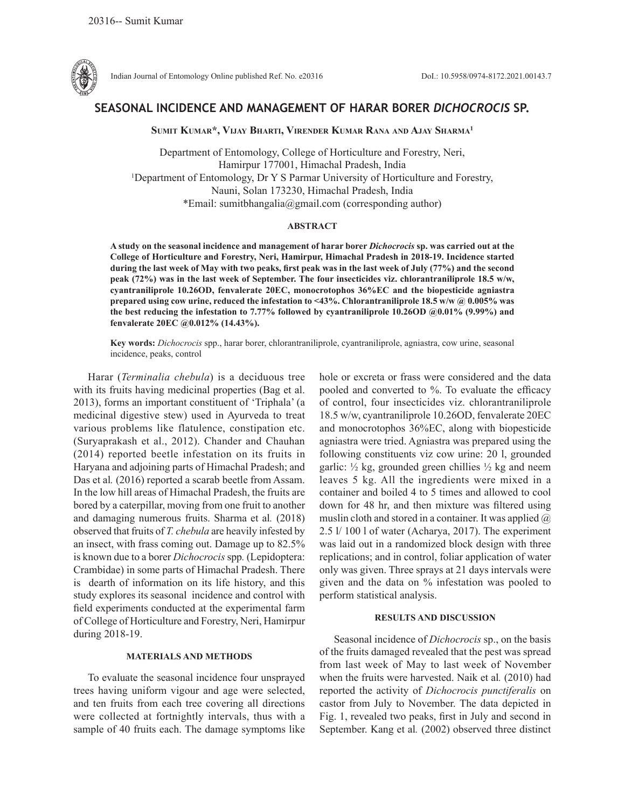

Indian Journal of Entomology Online published Ref. No. e20316 DoI.: 10.5958/0974-8172.2021.00143.7

# **SEASONAL INCIDENCE AND MANAGEMENT OF HARAR BORER** *DICHOCROCIS* **SP.**

**Sumit Kumar\*, Vijay Bharti, Virender Kumar Rana and Ajay Sharma1**

Department of Entomology, College of Horticulture and Forestry, Neri, Hamirpur 177001, Himachal Pradesh, India 1 Department of Entomology, Dr Y S Parmar University of Horticulture and Forestry, Nauni, Solan 173230, Himachal Pradesh, India \*Email: sumitbhangalia@gmail.com (corresponding author)

## **ABSTRACT**

**A study on the seasonal incidence and management of harar borer** *Dichocrocis* **sp. was carried out at the College of Horticulture and Forestry, Neri, Hamirpur, Himachal Pradesh in 2018-19. Incidence started during the last week of May with two peaks, first peak was in the last week of July (77%) and the second peak (72%) was in the last week of September. The four insecticides viz. chlorantraniliprole 18.5 w/w, cyantraniliprole 10.26OD, fenvalerate 20EC, monocrotophos 36%EC and the biopesticide agniastra prepared using cow urine, reduced the infestation to <43%. Chlorantraniliprole 18.5 w/w @ 0.005% was the best reducing the infestation to 7.77% followed by cyantraniliprole 10.26OD @0.01% (9.99%) and fenvalerate 20EC @0.012% (14.43%).** 

**Key words:** *Dichocrocis* spp., harar borer, chlorantraniliprole, cyantraniliprole, agniastra, cow urine, seasonal incidence, peaks, control

Harar (*Terminalia chebula*) is a deciduous tree with its fruits having medicinal properties (Bag et al. 2013), forms an important constituent of 'Triphala' (a medicinal digestive stew) used in Ayurveda to treat various problems like flatulence, constipation etc. (Suryaprakash et al., 2012). Chander and Chauhan (2014) reported beetle infestation on its fruits in Haryana and adjoining parts of Himachal Pradesh; and Das et al.  $(2016)$  reported a scarab beetle from Assam. In the low hill areas of Himachal Pradesh, the fruits are bored by a caterpillar, moving from one fruit to another and damaging numerous fruits. Sharma et al*.* (2018) observed that fruits of *T. chebula* are heavily infested by an insect, with frass coming out. Damage up to 82.5% is known due to a borer *Dichocrocis* spp*.* (Lepidoptera: Crambidae) in some parts of Himachal Pradesh. There is dearth of information on its life history, and this study explores its seasonal incidence and control with field experiments conducted at the experimental farm of College of Horticulture and Forestry, Neri, Hamirpur during 2018-19.

### **MATERIALS AND METHODS**

To evaluate the seasonal incidence four unsprayed trees having uniform vigour and age were selected, and ten fruits from each tree covering all directions were collected at fortnightly intervals, thus with a sample of 40 fruits each. The damage symptoms like hole or excreta or frass were considered and the data pooled and converted to %. To evaluate the efficacy of control, four insecticides viz. chlorantraniliprole 18.5 w/w, cyantraniliprole 10.26OD, fenvalerate 20EC and monocrotophos 36%EC, along with biopesticide agniastra were tried. Agniastra was prepared using the following constituents viz cow urine: 20 l, grounded garlic:  $\frac{1}{2}$  kg, grounded green chillies  $\frac{1}{2}$  kg and neem leaves 5 kg. All the ingredients were mixed in a container and boiled 4 to 5 times and allowed to cool down for 48 hr, and then mixture was filtered using muslin cloth and stored in a container. It was applied  $\omega$ 2.5 l/ 100 l of water (Acharya, 2017). The experiment was laid out in a randomized block design with three replications; and in control, foliar application of water only was given. Three sprays at 21 days intervals were given and the data on % infestation was pooled to perform statistical analysis.

### **RESULTS AND DISCUSSION**

Seasonal incidence of *Dichocrocis* sp., on the basis of the fruits damaged revealed that the pest was spread from last week of May to last week of November when the fruits were harvested. Naik et al*.* (2010) had reported the activity of *Dichocrocis punctiferalis* on castor from July to November. The data depicted in Fig. 1, revealed two peaks, first in July and second in September. Kang et al*.* (2002) observed three distinct